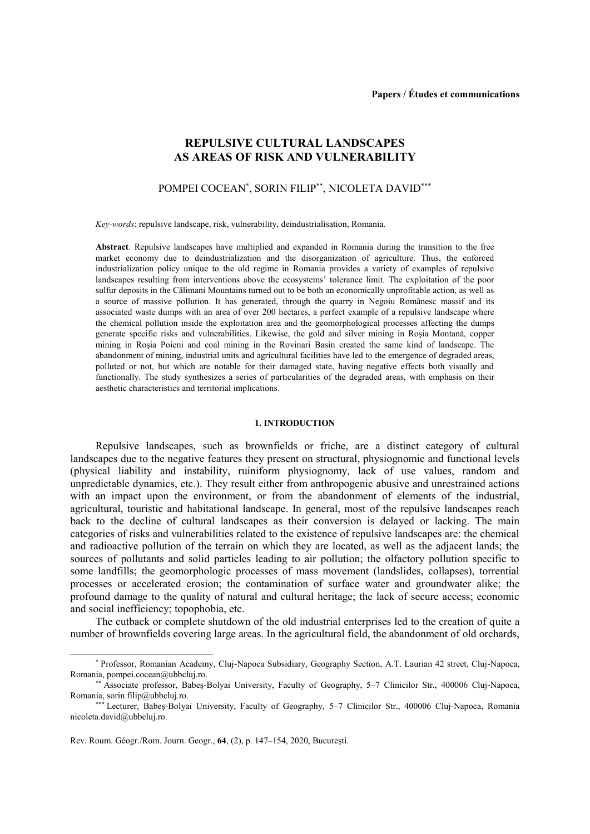# **REPULSIVE CULTURAL LANDSCAPES AS AREAS OF RISK AND VULNERABILITY**

# POMPEI COCEAN<sup>\*</sup>, SORIN FILIP<sup>\*\*</sup>, NICOLETA DAVID<sup>\*\*\*</sup>

*Key-words*: repulsive landscape, risk, vulnerability, deindustrialisation, Romania*.*

**Abstract**. Repulsive landscapes have multiplied and expanded in Romania during the transition to the free market economy due to deindustrialization and the disorganization of agriculture. Thus, the enforced industrialization policy unique to the old regime in Romania provides a variety of examples of repulsive landscapes resulting from interventions above the ecosystems' tolerance limit. The exploitation of the poor sulfur deposits in the Călimani Mountains turned out to be both an economically unprofitable action, as well as a source of massive pollution. It has generated, through the quarry in Negoiu Românesc massif and its associated waste dumps with an area of over 200 hectares, a perfect example of a repulsive landscape where the chemical pollution inside the exploitation area and the geomorphological processes affecting the dumps generate specific risks and vulnerabilities. Likewise, the gold and silver mining in Roşia Montană, copper mining in Roşia Poieni and coal mining in the Rovinari Basin created the same kind of landscape. The abandonment of mining, industrial units and agricultural facilities have led to the emergence of degraded areas, polluted or not, but which are notable for their damaged state, having negative effects both visually and functionally. The study synthesizes a series of particularities of the degraded areas, with emphasis on their aesthetic characteristics and territorial implications.

#### **1. INTRODUCTION**

Repulsive landscapes, such as brownfields or friche, are a distinct category of cultural landscapes due to the negative features they present on structural, physiognomic and functional levels (physical liability and instability, ruiniform physiognomy, lack of use values, random and unpredictable dynamics, etc.). They result either from anthropogenic abusive and unrestrained actions with an impact upon the environment, or from the abandonment of elements of the industrial, agricultural, touristic and habitational landscape. In general, most of the repulsive landscapes reach back to the decline of cultural landscapes as their conversion is delayed or lacking. The main categories of risks and vulnerabilities related to the existence of repulsive landscapes are: the chemical and radioactive pollution of the terrain on which they are located, as well as the adjacent lands; the sources of pollutants and solid particles leading to air pollution; the olfactory pollution specific to some landfills; the geomorphologic processes of mass movement (landslides, collapses), torrential processes or accelerated erosion; the contamination of surface water and groundwater alike; the profound damage to the quality of natural and cultural heritage; the lack of secure access; economic and social inefficiency; topophobia, etc.

The cutback or complete shutdown of the old industrial enterprises led to the creation of quite a number of brownfields covering large areas. In the agricultural field, the abandonment of old orchards,

j

Professor, Romanian Academy, Cluj-Napoca Subsidiary, Geography Section, A.T. Laurian 42 street, Cluj-Napoca, Romania, pompei.cocean@ubbcluj.ro.

Associate professor, Babeş-Bolyai University, Faculty of Geography, 5–7 Clinicilor Str., 400006 Cluj-Napoca, Romania, sorin.filip@ubbcluj.ro.

<sup>\*\*\*</sup> Lecturer, Babeş-Bolyai University, Faculty of Geography, 5-7 Clinicilor Str., 400006 Cluj-Napoca, Romania [nicoleta.david@ubbcluj.ro.](mailto:nicoleta.david@ubbcluj.ro)

Rev. Roum. Géogr./Rom. Journ. Geogr., **64**, (2), p. 147–154, 2020, Bucureşti.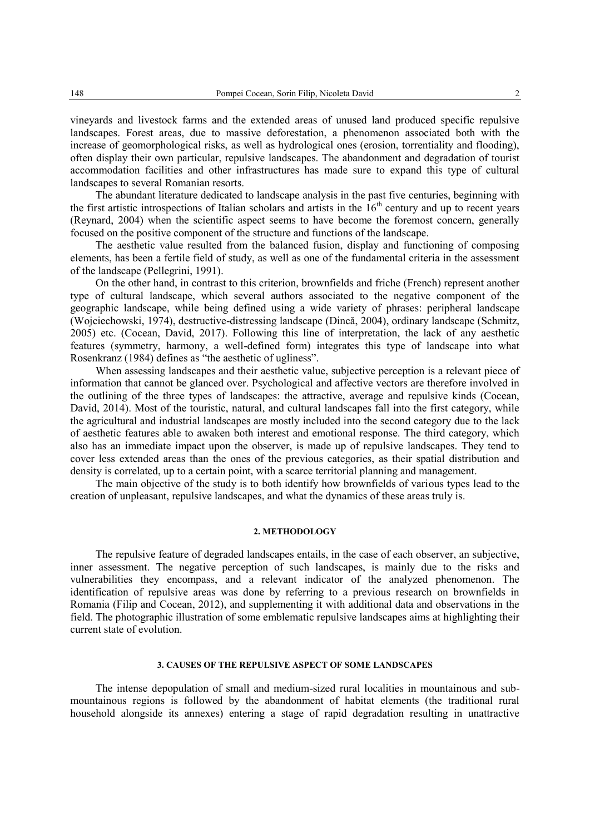vineyards and livestock farms and the extended areas of unused land produced specific repulsive landscapes. Forest areas, due to massive deforestation, a phenomenon associated both with the increase of geomorphological risks, as well as hydrological ones (erosion, torrentiality and flooding), often display their own particular, repulsive landscapes. The abandonment and degradation of tourist accommodation facilities and other infrastructures has made sure to expand this type of cultural landscapes to several Romanian resorts.

The abundant literature dedicated to landscape analysis in the past five centuries, beginning with the first artistic introspections of Italian scholars and artists in the  $16<sup>th</sup>$  century and up to recent years (Reynard, 2004) when the scientific aspect seems to have become the foremost concern, generally focused on the positive component of the structure and functions of the landscape.

The aesthetic value resulted from the balanced fusion, display and functioning of composing elements, has been a fertile field of study, as well as one of the fundamental criteria in the assessment of the landscape (Pellegrini, 1991).

On the other hand, in contrast to this criterion, brownfields and friche (French) represent another type of cultural landscape, which several authors associated to the negative component of the geographic landscape, while being defined using a wide variety of phrases: peripheral landscape (Wojciechowski, 1974), destructive-distressing landscape (Dincă, 2004), ordinary landscape (Schmitz, 2005) etc. (Cocean, David, 2017). Following this line of interpretation, the lack of any aesthetic features (symmetry, harmony, a well-defined form) integrates this type of landscape into what Rosenkranz (1984) defines as "the aesthetic of ugliness".

When assessing landscapes and their aesthetic value, subjective perception is a relevant piece of information that cannot be glanced over. Psychological and affective vectors are therefore involved in the outlining of the three types of landscapes: the attractive, average and repulsive kinds (Cocean, David, 2014). Most of the touristic, natural, and cultural landscapes fall into the first category, while the agricultural and industrial landscapes are mostly included into the second category due to the lack of aesthetic features able to awaken both interest and emotional response. The third category, which also has an immediate impact upon the observer, is made up of repulsive landscapes. They tend to cover less extended areas than the ones of the previous categories, as their spatial distribution and density is correlated, up to a certain point, with a scarce territorial planning and management.

The main objective of the study is to both identify how brownfields of various types lead to the creation of unpleasant, repulsive landscapes, and what the dynamics of these areas truly is.

### **2. METHODOLOGY**

The repulsive feature of degraded landscapes entails, in the case of each observer, an subjective, inner assessment. The negative perception of such landscapes, is mainly due to the risks and vulnerabilities they encompass, and a relevant indicator of the analyzed phenomenon. The identification of repulsive areas was done by referring to a previous research on brownfields in Romania (Filip and Cocean, 2012), and supplementing it with additional data and observations in the field. The photographic illustration of some emblematic repulsive landscapes aims at highlighting their current state of evolution.

# **3. CAUSES OF THE REPULSIVE ASPECT OF SOME LANDSCAPES**

The intense depopulation of small and medium-sized rural localities in mountainous and submountainous regions is followed by the abandonment of habitat elements (the traditional rural household alongside its annexes) entering a stage of rapid degradation resulting in unattractive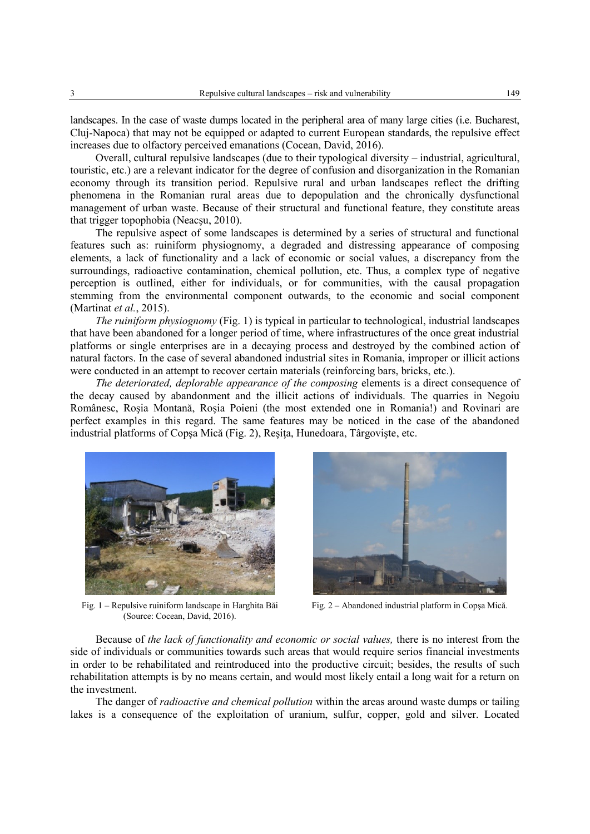landscapes. In the case of waste dumps located in the peripheral area of many large cities (i.e. Bucharest, Cluj-Napoca) that may not be equipped or adapted to current European standards, the repulsive effect increases due to olfactory perceived emanations (Cocean, David, 2016).

Overall, cultural repulsive landscapes (due to their typological diversity – industrial, agricultural, touristic, etc.) are a relevant indicator for the degree of confusion and disorganization in the Romanian economy through its transition period. Repulsive rural and urban landscapes reflect the drifting phenomena in the Romanian rural areas due to depopulation and the chronically dysfunctional management of urban waste. Because of their structural and functional feature, they constitute areas that trigger topophobia (Neacşu, 2010).

The repulsive aspect of some landscapes is determined by a series of structural and functional features such as: ruiniform physiognomy, a degraded and distressing appearance of composing elements, a lack of functionality and a lack of economic or social values, a discrepancy from the surroundings, radioactive contamination, chemical pollution, etc. Thus, a complex type of negative perception is outlined, either for individuals, or for communities, with the causal propagation stemming from the environmental component outwards, to the economic and social component (Martinat *et al.*, 2015).

*The ruiniform physiognomy* (Fig. 1) is typical in particular to technological, industrial landscapes that have been abandoned for a longer period of time, where infrastructures of the once great industrial platforms or single enterprises are in a decaying process and destroyed by the combined action of natural factors. In the case of several abandoned industrial sites in Romania, improper or illicit actions were conducted in an attempt to recover certain materials (reinforcing bars, bricks, etc.).

*The deteriorated, deplorable appearance of the composing* elements is a direct consequence of the decay caused by abandonment and the illicit actions of individuals. The quarries in Negoiu Românesc, Roşia Montană, Roşia Poieni (the most extended one in Romania!) and Rovinari are perfect examples in this regard. The same features may be noticed in the case of the abandoned industrial platforms of Copşa Mică (Fig. 2), Reşiţa, Hunedoara, Târgovişte, etc.



Fig. 1 – Repulsive ruiniform landscape in Harghita Băi (Source: Cocean, David, 2016).



Fig. 2 – Abandoned industrial platform in Copşa Mică.

Because of *the lack of functionality and economic or social values,* there is no interest from the side of individuals or communities towards such areas that would require serios financial investments in order to be rehabilitated and reintroduced into the productive circuit; besides, the results of such rehabilitation attempts is by no means certain, and would most likely entail a long wait for a return on the investment.

The danger of *radioactive and chemical pollution* within the areas around waste dumps or tailing lakes is a consequence of the exploitation of uranium, sulfur, copper, gold and silver. Located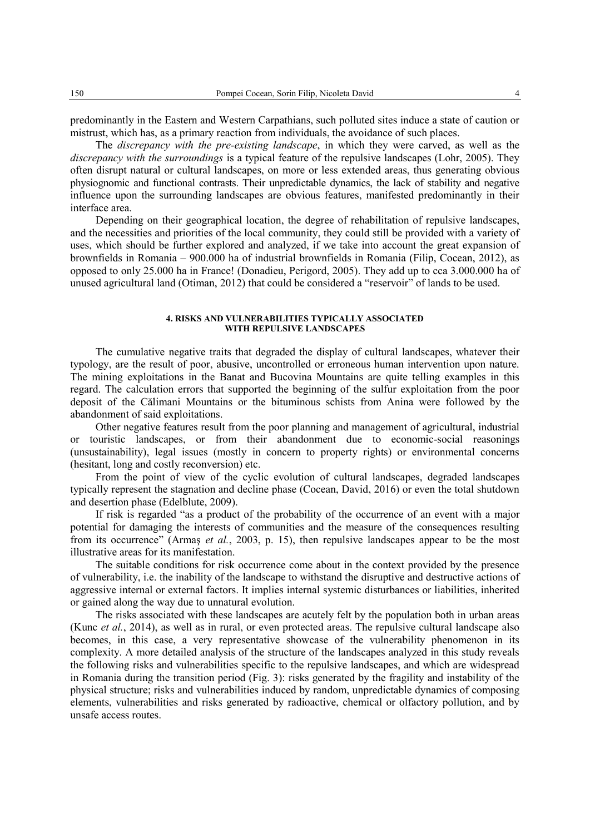predominantly in the Eastern and Western Carpathians, such polluted sites induce a state of caution or mistrust, which has, as a primary reaction from individuals, the avoidance of such places.

The *discrepancy with the pre-existing landscape*, in which they were carved, as well as the *discrepancy with the surroundings* is a typical feature of the repulsive landscapes (Lohr, 2005). They often disrupt natural or cultural landscapes, on more or less extended areas, thus generating obvious physiognomic and functional contrasts. Their unpredictable dynamics, the lack of stability and negative influence upon the surrounding landscapes are obvious features, manifested predominantly in their interface area.

Depending on their geographical location, the degree of rehabilitation of repulsive landscapes, and the necessities and priorities of the local community, they could still be provided with a variety of uses, which should be further explored and analyzed, if we take into account the great expansion of brownfields in Romania – 900.000 ha of industrial brownfields in Romania (Filip, Cocean, 2012), as opposed to only 25.000 ha in France! (Donadieu, Perigord, 2005). They add up to cca 3.000.000 ha of unused agricultural land (Otiman, 2012) that could be considered a "reservoir" of lands to be used.

### **4. RISKS AND VULNERABILITIES TYPICALLY ASSOCIATED WITH REPULSIVE LANDSCAPES**

The cumulative negative traits that degraded the display of cultural landscapes, whatever their typology, are the result of poor, abusive, uncontrolled or erroneous human intervention upon nature. The mining exploitations in the Banat and Bucovina Mountains are quite telling examples in this regard. The calculation errors that supported the beginning of the sulfur exploitation from the poor deposit of the Călimani Mountains or the bituminous schists from Anina were followed by the abandonment of said exploitations.

Other negative features result from the poor planning and management of agricultural, industrial or touristic landscapes, or from their abandonment due to economic-social reasonings (unsustainability), legal issues (mostly in concern to property rights) or environmental concerns (hesitant, long and costly reconversion) etc.

From the point of view of the cyclic evolution of cultural landscapes, degraded landscapes typically represent the stagnation and decline phase (Cocean, David, 2016) or even the total shutdown and desertion phase (Edelblute, 2009).

If risk is regarded "as a product of the probability of the occurrence of an event with a major potential for damaging the interests of communities and the measure of the consequences resulting from its occurrence" (Armaş *et al.*, 2003, p. 15), then repulsive landscapes appear to be the most illustrative areas for its manifestation.

The suitable conditions for risk occurrence come about in the context provided by the presence of vulnerability, i.e. the inability of the landscape to withstand the disruptive and destructive actions of aggressive internal or external factors. It implies internal systemic disturbances or liabilities, inherited or gained along the way due to unnatural evolution.

The risks associated with these landscapes are acutely felt by the population both in urban areas (Kunc *et al.*, 2014), as well as in rural, or even protected areas. The repulsive cultural landscape also becomes, in this case, a very representative showcase of the vulnerability phenomenon in its complexity. A more detailed analysis of the structure of the landscapes analyzed in this study reveals the following risks and vulnerabilities specific to the repulsive landscapes, and which are widespread in Romania during the transition period (Fig. 3): risks generated by the fragility and instability of the physical structure; risks and vulnerabilities induced by random, unpredictable dynamics of composing elements, vulnerabilities and risks generated by radioactive, chemical or olfactory pollution, and by unsafe access routes.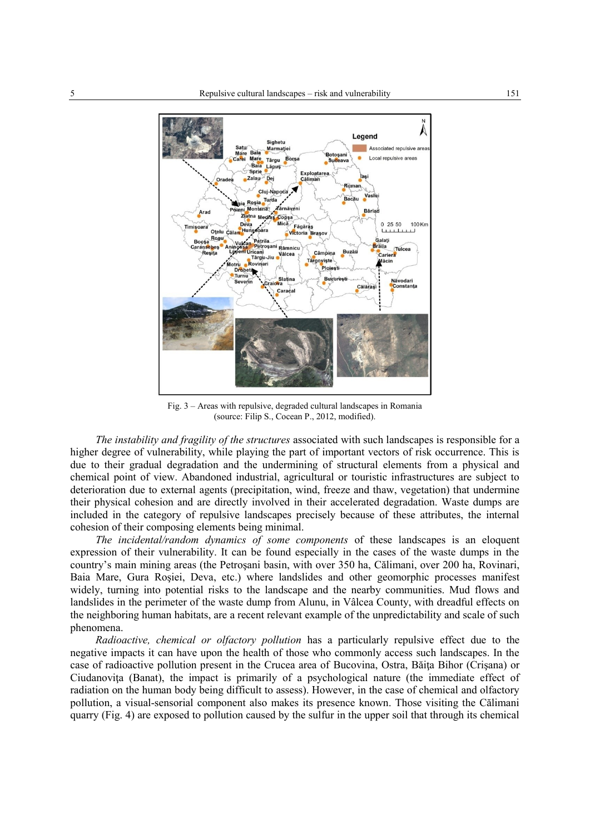

Fig. 3 – Areas with repulsive, degraded cultural landscapes in Romania (source: Filip S., Cocean P., 2012, modified).

*The instability and fragility of the structures* associated with such landscapes is responsible for a higher degree of vulnerability, while playing the part of important vectors of risk occurrence. This is due to their gradual degradation and the undermining of structural elements from a physical and chemical point of view. Abandoned industrial, agricultural or touristic infrastructures are subject to deterioration due to external agents (precipitation, wind, freeze and thaw, vegetation) that undermine their physical cohesion and are directly involved in their accelerated degradation. Waste dumps are included in the category of repulsive landscapes precisely because of these attributes, the internal cohesion of their composing elements being minimal.

*The incidental/random dynamics of some components* of these landscapes is an eloquent expression of their vulnerability. It can be found especially in the cases of the waste dumps in the country's main mining areas (the Petroşani basin, with over 350 ha, Călimani, over 200 ha, Rovinari, Baia Mare, Gura Roşiei, Deva, etc.) where landslides and other geomorphic processes manifest widely, turning into potential risks to the landscape and the nearby communities. Mud flows and landslides in the perimeter of the waste dump from Alunu, in Vâlcea County, with dreadful effects on the neighboring human habitats, are a recent relevant example of the unpredictability and scale of such phenomena.

*Radioactive, chemical or olfactory pollution* has a particularly repulsive effect due to the negative impacts it can have upon the health of those who commonly access such landscapes. In the case of radioactive pollution present in the Crucea area of Bucovina, Ostra, Băiţa Bihor (Crişana) or Ciudanovita (Banat), the impact is primarily of a psychological nature (the immediate effect of radiation on the human body being difficult to assess). However, in the case of chemical and olfactory pollution, a visual-sensorial component also makes its presence known. Those visiting the Călimani quarry (Fig. 4) are exposed to pollution caused by the sulfur in the upper soil that through its chemical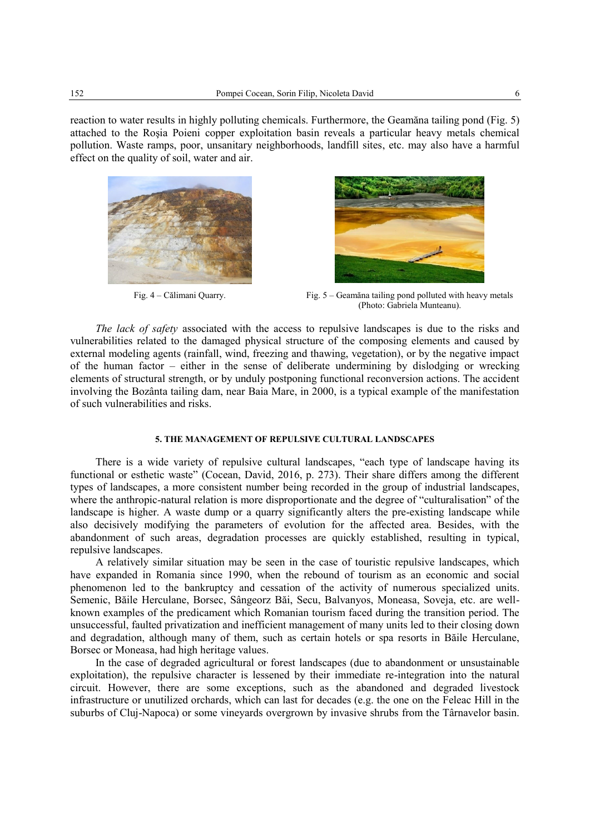reaction to water results in highly polluting chemicals. Furthermore, the Geamăna tailing pond (Fig. 5) attached to the Roşia Poieni copper exploitation basin reveals a particular heavy metals chemical pollution. Waste ramps, poor, unsanitary neighborhoods, landfill sites, etc. may also have a harmful effect on the quality of soil, water and air.





Fig. 4 – Călimani Quarry. Fig. 5 – Geamăna tailing pond polluted with heavy metals (Photo: Gabriela Munteanu).

*The lack of safety* associated with the access to repulsive landscapes is due to the risks and vulnerabilities related to the damaged physical structure of the composing elements and caused by external modeling agents (rainfall, wind, freezing and thawing, vegetation), or by the negative impact of the human factor – either in the sense of deliberate undermining by dislodging or wrecking elements of structural strength, or by unduly postponing functional reconversion actions. The accident involving the Bozânta tailing dam, near Baia Mare, in 2000, is a typical example of the manifestation of such vulnerabilities and risks.

# **5. THE MANAGEMENT OF REPULSIVE CULTURAL LANDSCAPES**

There is a wide variety of repulsive cultural landscapes, "each type of landscape having its functional or esthetic waste" (Cocean, David, 2016, p. 273). Their share differs among the different types of landscapes, a more consistent number being recorded in the group of industrial landscapes, where the anthropic-natural relation is more disproportionate and the degree of "culturalisation" of the landscape is higher. A waste dump or a quarry significantly alters the pre-existing landscape while also decisively modifying the parameters of evolution for the affected area. Besides, with the abandonment of such areas, degradation processes are quickly established, resulting in typical, repulsive landscapes.

A relatively similar situation may be seen in the case of touristic repulsive landscapes, which have expanded in Romania since 1990, when the rebound of tourism as an economic and social phenomenon led to the bankruptcy and cessation of the activity of numerous specialized units. Semenic, Băile Herculane, Borsec, Sângeorz Băi, Secu, Balvanyos, Moneasa, Soveja, etc. are wellknown examples of the predicament which Romanian tourism faced during the transition period. The unsuccessful, faulted privatization and inefficient management of many units led to their closing down and degradation, although many of them, such as certain hotels or spa resorts in Băile Herculane, Borsec or Moneasa, had high heritage values.

In the case of degraded agricultural or forest landscapes (due to abandonment or unsustainable exploitation), the repulsive character is lessened by their immediate re-integration into the natural circuit. However, there are some exceptions, such as the abandoned and degraded livestock infrastructure or unutilized orchards, which can last for decades (e.g. the one on the Feleac Hill in the suburbs of Cluj-Napoca) or some vineyards overgrown by invasive shrubs from the Târnavelor basin.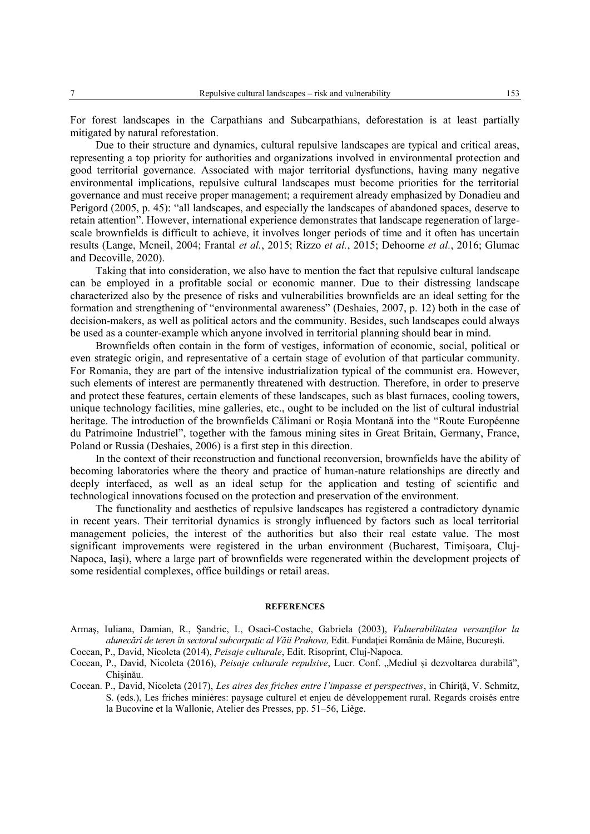For forest landscapes in the Carpathians and Subcarpathians, deforestation is at least partially mitigated by natural reforestation.

Due to their structure and dynamics, cultural repulsive landscapes are typical and critical areas, representing a top priority for authorities and organizations involved in environmental protection and good territorial governance. Associated with major territorial dysfunctions, having many negative environmental implications, repulsive cultural landscapes must become priorities for the territorial governance and must receive proper management; a requirement already emphasized by Donadieu and Perigord (2005, p. 45): "all landscapes, and especially the landscapes of abandoned spaces, deserve to retain attention". However, international experience demonstrates that landscape regeneration of largescale brownfields is difficult to achieve, it involves longer periods of time and it often has uncertain results (Lange, Mcneil, 2004; Frantal *et al.*, 2015; Rizzo *et al.*, 2015; Dehoorne *et al.*, 2016; Glumac and Decoville, 2020).

Taking that into consideration, we also have to mention the fact that repulsive cultural landscape can be employed in a profitable social or economic manner. Due to their distressing landscape characterized also by the presence of risks and vulnerabilities brownfields are an ideal setting for the formation and strengthening of "environmental awareness" (Deshaies, 2007, p. 12) both in the case of decision-makers, as well as political actors and the community. Besides, such landscapes could always be used as a counter-example which anyone involved in territorial planning should bear in mind.

Brownfields often contain in the form of vestiges, information of economic, social, political or even strategic origin, and representative of a certain stage of evolution of that particular community. For Romania, they are part of the intensive industrialization typical of the communist era. However, such elements of interest are permanently threatened with destruction. Therefore, in order to preserve and protect these features, certain elements of these landscapes, such as blast furnaces, cooling towers, unique technology facilities, mine galleries, etc., ought to be included on the list of cultural industrial heritage. The introduction of the brownfields Călimani or Roşia Montană into the "Route Européenne du Patrimoine Industriel", together with the famous mining sites in Great Britain, Germany, France, Poland or Russia (Deshaies, 2006) is a first step in this direction.

In the context of their reconstruction and functional reconversion, brownfields have the ability of becoming laboratories where the theory and practice of human-nature relationships are directly and deeply interfaced, as well as an ideal setup for the application and testing of scientific and technological innovations focused on the protection and preservation of the environment.

The functionality and aesthetics of repulsive landscapes has registered a contradictory dynamic in recent years. Their territorial dynamics is strongly influenced by factors such as local territorial management policies, the interest of the authorities but also their real estate value. The most significant improvements were registered in the urban environment (Bucharest, Timişoara, Cluj-Napoca, Iaşi), where a large part of brownfields were regenerated within the development projects of some residential complexes, office buildings or retail areas.

#### **REFERENCES**

- Armaş, Iuliana, Damian, R., Şandric, I., Osaci-Costache, Gabriela (2003), *Vulnerabilitatea versanților la alunecări de teren în sectorul subcarpatic al Văii Prahova,* Edit. Fundaţiei România de Mâine, Bucureşti.
- Cocean, P., David, Nicoleta (2014), *Peisaje culturale*, Edit. Risoprint, Cluj-Napoca.
- Cocean, P., David, Nicoleta (2016), *Peisaje culturale repulsive*, Lucr. Conf. "Mediul și dezvoltarea durabilă", Chişinău.
- Cocean. P., David, Nicoleta (2017), *Les aires des friches entre l'impasse et perspectives*, in Chiriţă, V. Schmitz, S. (eds.), Les friches minières: paysage culturel et enjeu de développement rural. Regards croisés entre la Bucovine et la Wallonie, Atelier des Presses, pp. 51–56, Liège.